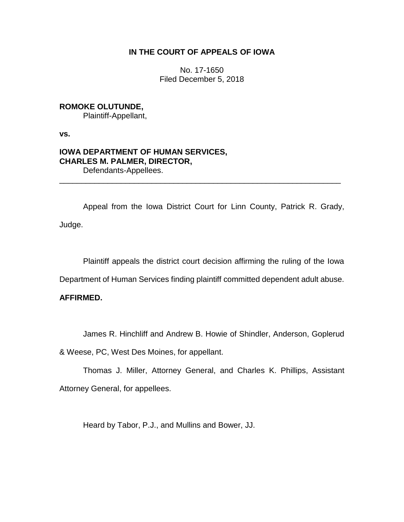## **IN THE COURT OF APPEALS OF IOWA**

No. 17-1650 Filed December 5, 2018

# **ROMOKE OLUTUNDE,** Plaintiff-Appellant,

**vs.**

### **IOWA DEPARTMENT OF HUMAN SERVICES, CHARLES M. PALMER, DIRECTOR,** Defendants-Appellees.

Appeal from the Iowa District Court for Linn County, Patrick R. Grady, Judge.

\_\_\_\_\_\_\_\_\_\_\_\_\_\_\_\_\_\_\_\_\_\_\_\_\_\_\_\_\_\_\_\_\_\_\_\_\_\_\_\_\_\_\_\_\_\_\_\_\_\_\_\_\_\_\_\_\_\_\_\_\_\_\_\_

Plaintiff appeals the district court decision affirming the ruling of the Iowa

Department of Human Services finding plaintiff committed dependent adult abuse.

# **AFFIRMED.**

James R. Hinchliff and Andrew B. Howie of Shindler, Anderson, Goplerud

& Weese, PC, West Des Moines, for appellant.

Thomas J. Miller, Attorney General, and Charles K. Phillips, Assistant Attorney General, for appellees.

Heard by Tabor, P.J., and Mullins and Bower, JJ.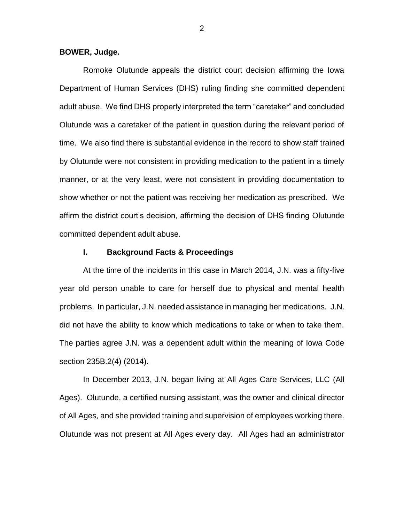**BOWER, Judge.**

Romoke Olutunde appeals the district court decision affirming the Iowa Department of Human Services (DHS) ruling finding she committed dependent adult abuse. We find DHS properly interpreted the term "caretaker" and concluded Olutunde was a caretaker of the patient in question during the relevant period of time. We also find there is substantial evidence in the record to show staff trained by Olutunde were not consistent in providing medication to the patient in a timely manner, or at the very least, were not consistent in providing documentation to show whether or not the patient was receiving her medication as prescribed. We affirm the district court's decision, affirming the decision of DHS finding Olutunde committed dependent adult abuse.

#### **I. Background Facts & Proceedings**

At the time of the incidents in this case in March 2014, J.N. was a fifty-five year old person unable to care for herself due to physical and mental health problems. In particular, J.N. needed assistance in managing her medications. J.N. did not have the ability to know which medications to take or when to take them. The parties agree J.N. was a dependent adult within the meaning of Iowa Code section 235B.2(4) (2014).

In December 2013, J.N. began living at All Ages Care Services, LLC (All Ages). Olutunde, a certified nursing assistant, was the owner and clinical director of All Ages, and she provided training and supervision of employees working there. Olutunde was not present at All Ages every day. All Ages had an administrator

2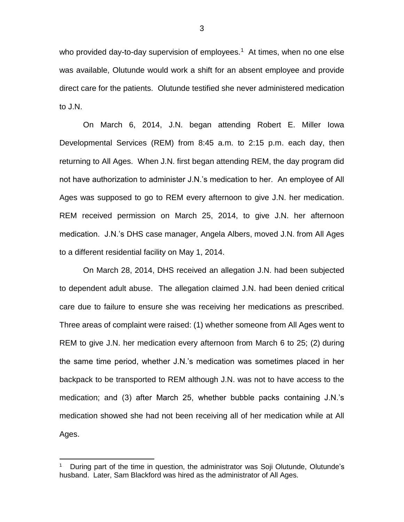who provided day-to-day supervision of employees.<sup>1</sup> At times, when no one else was available, Olutunde would work a shift for an absent employee and provide direct care for the patients. Olutunde testified she never administered medication to J.N.

On March 6, 2014, J.N. began attending Robert E. Miller Iowa Developmental Services (REM) from 8:45 a.m. to 2:15 p.m. each day, then returning to All Ages. When J.N. first began attending REM, the day program did not have authorization to administer J.N.'s medication to her. An employee of All Ages was supposed to go to REM every afternoon to give J.N. her medication. REM received permission on March 25, 2014, to give J.N. her afternoon medication. J.N.'s DHS case manager, Angela Albers, moved J.N. from All Ages to a different residential facility on May 1, 2014.

On March 28, 2014, DHS received an allegation J.N. had been subjected to dependent adult abuse. The allegation claimed J.N. had been denied critical care due to failure to ensure she was receiving her medications as prescribed. Three areas of complaint were raised: (1) whether someone from All Ages went to REM to give J.N. her medication every afternoon from March 6 to 25; (2) during the same time period, whether J.N.'s medication was sometimes placed in her backpack to be transported to REM although J.N. was not to have access to the medication; and (3) after March 25, whether bubble packs containing J.N.'s medication showed she had not been receiving all of her medication while at All Ages.

<sup>1</sup> During part of the time in question, the administrator was Soji Olutunde, Olutunde's husband. Later, Sam Blackford was hired as the administrator of All Ages.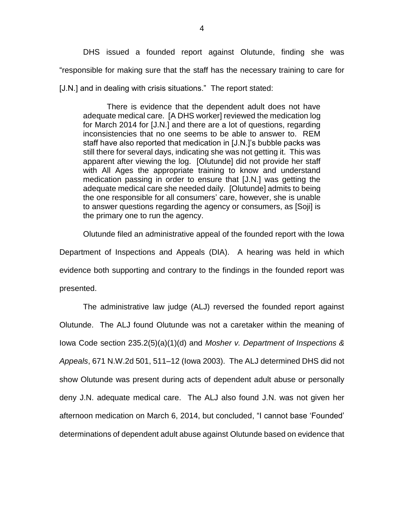DHS issued a founded report against Olutunde, finding she was "responsible for making sure that the staff has the necessary training to care for [J.N.] and in dealing with crisis situations." The report stated:

There is evidence that the dependent adult does not have adequate medical care. [A DHS worker] reviewed the medication log for March 2014 for [J.N.] and there are a lot of questions, regarding inconsistencies that no one seems to be able to answer to. REM staff have also reported that medication in [J.N.]'s bubble packs was still there for several days, indicating she was not getting it. This was apparent after viewing the log. [Olutunde] did not provide her staff with All Ages the appropriate training to know and understand medication passing in order to ensure that [J.N.] was getting the adequate medical care she needed daily. [Olutunde] admits to being the one responsible for all consumers' care, however, she is unable to answer questions regarding the agency or consumers, as [Soji] is the primary one to run the agency.

Olutunde filed an administrative appeal of the founded report with the Iowa Department of Inspections and Appeals (DIA). A hearing was held in which evidence both supporting and contrary to the findings in the founded report was presented.

The administrative law judge (ALJ) reversed the founded report against Olutunde. The ALJ found Olutunde was not a caretaker within the meaning of Iowa Code section 235.2(5)(a)(1)(d) and *Mosher v. Department of Inspections & Appeals*, 671 N.W.2d 501, 511–12 (Iowa 2003). The ALJ determined DHS did not show Olutunde was present during acts of dependent adult abuse or personally deny J.N. adequate medical care. The ALJ also found J.N. was not given her afternoon medication on March 6, 2014, but concluded, "I cannot base 'Founded' determinations of dependent adult abuse against Olutunde based on evidence that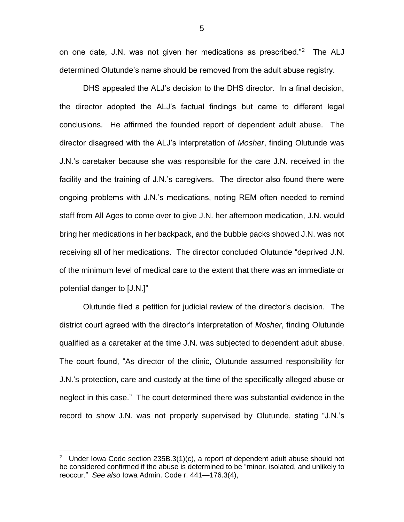on one date, J.N. was not given her medications as prescribed."<sup>2</sup> The ALJ determined Olutunde's name should be removed from the adult abuse registry.

DHS appealed the ALJ's decision to the DHS director. In a final decision, the director adopted the ALJ's factual findings but came to different legal conclusions. He affirmed the founded report of dependent adult abuse. The director disagreed with the ALJ's interpretation of *Mosher*, finding Olutunde was J.N.'s caretaker because she was responsible for the care J.N. received in the facility and the training of J.N.'s caregivers. The director also found there were ongoing problems with J.N.'s medications, noting REM often needed to remind staff from All Ages to come over to give J.N. her afternoon medication, J.N. would bring her medications in her backpack, and the bubble packs showed J.N. was not receiving all of her medications. The director concluded Olutunde "deprived J.N. of the minimum level of medical care to the extent that there was an immediate or potential danger to [J.N.]"

Olutunde filed a petition for judicial review of the director's decision. The district court agreed with the director's interpretation of *Mosher*, finding Olutunde qualified as a caretaker at the time J.N. was subjected to dependent adult abuse. The court found, "As director of the clinic, Olutunde assumed responsibility for J.N.'s protection, care and custody at the time of the specifically alleged abuse or neglect in this case." The court determined there was substantial evidence in the record to show J.N. was not properly supervised by Olutunde, stating "J.N.'s

 $\overline{a}$ 

5

<sup>2</sup> Under Iowa Code section 235B.3(1)(c), a report of dependent adult abuse should not be considered confirmed if the abuse is determined to be "minor, isolated, and unlikely to reoccur." *See also* Iowa Admin. Code r. 441—176.3(4),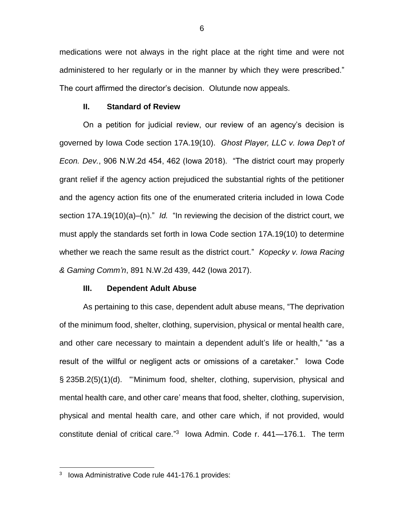medications were not always in the right place at the right time and were not administered to her regularly or in the manner by which they were prescribed." The court affirmed the director's decision. Olutunde now appeals.

#### **II. Standard of Review**

On a petition for judicial review, our review of an agency's decision is governed by Iowa Code section 17A.19(10). *Ghost Player, LLC v. Iowa Dep't of Econ. Dev.*, 906 N.W.2d 454, 462 (Iowa 2018). "The district court may properly grant relief if the agency action prejudiced the substantial rights of the petitioner and the agency action fits one of the enumerated criteria included in Iowa Code section 17A.19(10)(a)–(n)." *Id.* "In reviewing the decision of the district court, we must apply the standards set forth in Iowa Code section 17A.19(10) to determine whether we reach the same result as the district court." *Kopecky v. Iowa Racing & Gaming Comm'n*, 891 N.W.2d 439, 442 (Iowa 2017).

#### **III. Dependent Adult Abuse**

As pertaining to this case, dependent adult abuse means, "The deprivation of the minimum food, shelter, clothing, supervision, physical or mental health care, and other care necessary to maintain a dependent adult's life or health," "as a result of the willful or negligent acts or omissions of a caretaker." Iowa Code § 235B.2(5)(1)(d). "'Minimum food, shelter, clothing, supervision, physical and mental health care, and other care' means that food, shelter, clothing, supervision, physical and mental health care, and other care which, if not provided, would constitute denial of critical care." 3 Iowa Admin. Code r. 441—176.1. The term

<sup>&</sup>lt;sup>3</sup> Iowa Administrative Code rule 441-176.1 provides: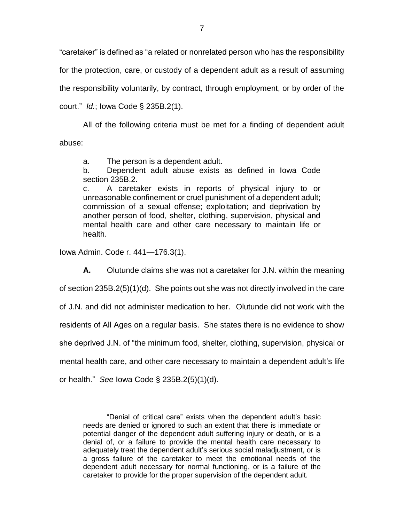"caretaker" is defined as "a related or nonrelated person who has the responsibility for the protection, care, or custody of a dependent adult as a result of assuming the responsibility voluntarily, by contract, through employment, or by order of the court." *Id.*; Iowa Code § 235B.2(1).

All of the following criteria must be met for a finding of dependent adult abuse:

a. The person is a dependent adult.

b. Dependent adult abuse exists as defined in Iowa Code section 235B.2.

c. A caretaker exists in reports of physical injury to or unreasonable confinement or cruel punishment of a dependent adult; commission of a sexual offense; exploitation; and deprivation by another person of food, shelter, clothing, supervision, physical and mental health care and other care necessary to maintain life or health.

Iowa Admin. Code r. 441—176.3(1).

 $\overline{a}$ 

**A.** Olutunde claims she was not a caretaker for J.N. within the meaning of section 235B.2(5)(1)(d). She points out she was not directly involved in the care of J.N. and did not administer medication to her. Olutunde did not work with the residents of All Ages on a regular basis. She states there is no evidence to show she deprived J.N. of "the minimum food, shelter, clothing, supervision, physical or mental health care, and other care necessary to maintain a dependent adult's life or health." *See* Iowa Code § 235B.2(5)(1)(d).

<sup>&</sup>quot;Denial of critical care" exists when the dependent adult's basic needs are denied or ignored to such an extent that there is immediate or potential danger of the dependent adult suffering injury or death, or is a denial of, or a failure to provide the mental health care necessary to adequately treat the dependent adult's serious social maladjustment, or is a gross failure of the caretaker to meet the emotional needs of the dependent adult necessary for normal functioning, or is a failure of the caretaker to provide for the proper supervision of the dependent adult.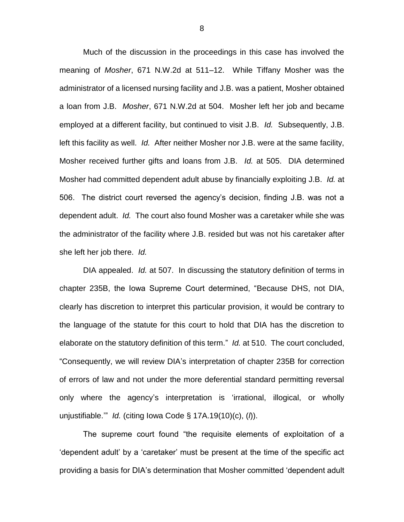Much of the discussion in the proceedings in this case has involved the meaning of *Mosher*, 671 N.W.2d at 511–12. While Tiffany Mosher was the administrator of a licensed nursing facility and J.B. was a patient, Mosher obtained a loan from J.B. *Mosher*, 671 N.W.2d at 504. Mosher left her job and became employed at a different facility, but continued to visit J.B. *Id.* Subsequently, J.B. left this facility as well. *Id.* After neither Mosher nor J.B. were at the same facility, Mosher received further gifts and loans from J.B. *Id.* at 505. DIA determined Mosher had committed dependent adult abuse by financially exploiting J.B. *Id.* at 506. The district court reversed the agency's decision, finding J.B. was not a dependent adult. *Id.* The court also found Mosher was a caretaker while she was the administrator of the facility where J.B. resided but was not his caretaker after she left her job there. *Id.*

DIA appealed. *Id.* at 507. In discussing the statutory definition of terms in chapter 235B, the Iowa Supreme Court determined, "Because DHS, not DIA, clearly has discretion to interpret this particular provision, it would be contrary to the language of the statute for this court to hold that DIA has the discretion to elaborate on the statutory definition of this term." *Id.* at 510. The court concluded, "Consequently, we will review DIA's interpretation of chapter 235B for correction of errors of law and not under the more deferential standard permitting reversal only where the agency's interpretation is 'irrational, illogical, or wholly unjustifiable.'" *Id.* (citing Iowa Code § 17A.19(10)(c), (*l*)).

The supreme court found "the requisite elements of exploitation of a 'dependent adult' by a 'caretaker' must be present at the time of the specific act providing a basis for DIA's determination that Mosher committed 'dependent adult

8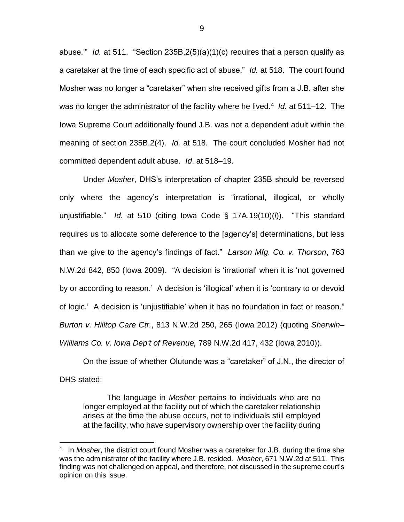abuse.'" *Id.* at 511. "Section 235B.2(5)(a)(1)(c) requires that a person qualify as a caretaker at the time of each specific act of abuse." *Id.* at 518. The court found Mosher was no longer a "caretaker" when she received gifts from a J.B. after she was no longer the administrator of the facility where he lived.<sup>4</sup> Id. at 511–12. The Iowa Supreme Court additionally found J.B. was not a dependent adult within the meaning of section 235B.2(4). *Id.* at 518. The court concluded Mosher had not committed dependent adult abuse. *Id*. at 518–19.

Under *Mosher*, DHS's interpretation of chapter 235B should be reversed only where the agency's interpretation is "irrational, illogical, or wholly unjustifiable." *Id.* at 510 (citing Iowa Code § 17A.19(10)(*l*)). "This standard requires us to allocate some deference to the [agency's] determinations, but less than we give to the agency's findings of fact." *Larson Mfg. Co. v. Thorson*, 763 N.W.2d 842, 850 (Iowa 2009). "A decision is 'irrational' when it is 'not governed by or according to reason.' A decision is 'illogical' when it is 'contrary to or devoid of logic.' A decision is 'unjustifiable' when it has no foundation in fact or reason." *Burton v. Hilltop Care Ctr.*, 813 N.W.2d 250, 265 (Iowa 2012) (quoting *Sherwin– Williams Co. v. Iowa Dep't of Revenue,* 789 N.W.2d 417, 432 (Iowa 2010)).

On the issue of whether Olutunde was a "caretaker" of J.N., the director of DHS stated:

The language in *Mosher* pertains to individuals who are no longer employed at the facility out of which the caretaker relationship arises at the time the abuse occurs, not to individuals still employed at the facility, who have supervisory ownership over the facility during

<sup>4</sup> In *Mosher*, the district court found Mosher was a caretaker for J.B. during the time she was the administrator of the facility where J.B. resided. *Mosher*, 671 N.W.2d at 511. This finding was not challenged on appeal, and therefore, not discussed in the supreme court's opinion on this issue.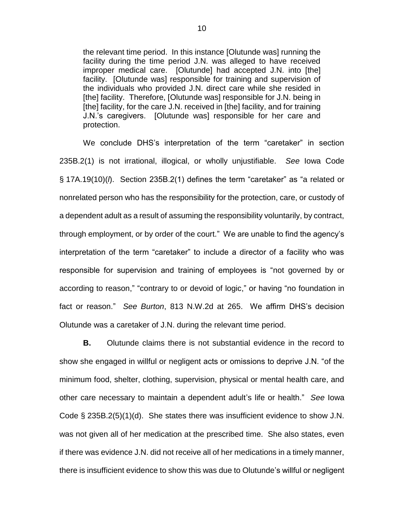the relevant time period. In this instance [Olutunde was] running the facility during the time period J.N. was alleged to have received improper medical care. [Olutunde] had accepted J.N. into [the] facility. [Olutunde was] responsible for training and supervision of the individuals who provided J.N. direct care while she resided in [the] facility. Therefore, [Olutunde was] responsible for J.N. being in [the] facility, for the care J.N. received in [the] facility, and for training J.N.'s caregivers. [Olutunde was] responsible for her care and protection.

We conclude DHS's interpretation of the term "caretaker" in section 235B.2(1) is not irrational, illogical, or wholly unjustifiable. *See* Iowa Code § 17A.19(10)(*l*). Section 235B.2(1) defines the term "caretaker" as "a related or nonrelated person who has the responsibility for the protection, care, or custody of a dependent adult as a result of assuming the responsibility voluntarily, by contract, through employment, or by order of the court." We are unable to find the agency's interpretation of the term "caretaker" to include a director of a facility who was responsible for supervision and training of employees is "not governed by or according to reason," "contrary to or devoid of logic," or having "no foundation in fact or reason." *See Burton*, 813 N.W.2d at 265. We affirm DHS's decision Olutunde was a caretaker of J.N. during the relevant time period.

**B.** Olutunde claims there is not substantial evidence in the record to show she engaged in willful or negligent acts or omissions to deprive J.N. "of the minimum food, shelter, clothing, supervision, physical or mental health care, and other care necessary to maintain a dependent adult's life or health." *See* Iowa Code § 235B.2(5)(1)(d). She states there was insufficient evidence to show J.N. was not given all of her medication at the prescribed time. She also states, even if there was evidence J.N. did not receive all of her medications in a timely manner, there is insufficient evidence to show this was due to Olutunde's willful or negligent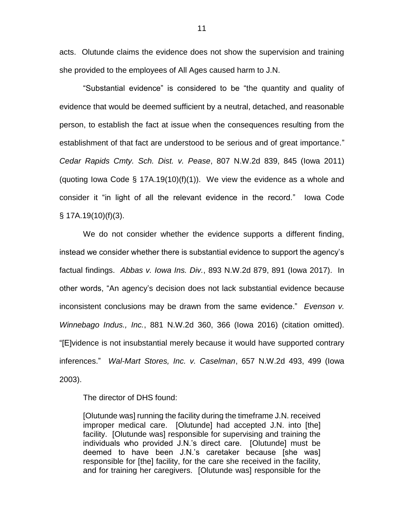acts. Olutunde claims the evidence does not show the supervision and training she provided to the employees of All Ages caused harm to J.N.

"Substantial evidence" is considered to be "the quantity and quality of evidence that would be deemed sufficient by a neutral, detached, and reasonable person, to establish the fact at issue when the consequences resulting from the establishment of that fact are understood to be serious and of great importance." *Cedar Rapids Cmty. Sch. Dist. v. Pease*, 807 N.W.2d 839, 845 (Iowa 2011) (quoting Iowa Code  $\S$  17A.19(10)(f)(1)). We view the evidence as a whole and consider it "in light of all the relevant evidence in the record." Iowa Code § 17A.19(10)(f)(3).

We do not consider whether the evidence supports a different finding, instead we consider whether there is substantial evidence to support the agency's factual findings. *Abbas v. Iowa Ins. Div.*, 893 N.W.2d 879, 891 (Iowa 2017). In other words, "An agency's decision does not lack substantial evidence because inconsistent conclusions may be drawn from the same evidence." *Evenson v. Winnebago Indus., Inc.*, 881 N.W.2d 360, 366 (Iowa 2016) (citation omitted). "[E]vidence is not insubstantial merely because it would have supported contrary inferences." *Wal-Mart Stores, Inc. v. Caselman*, 657 N.W.2d 493, 499 (Iowa 2003).

The director of DHS found:

[Olutunde was] running the facility during the timeframe J.N. received improper medical care. [Olutunde] had accepted J.N. into [the] facility. [Olutunde was] responsible for supervising and training the individuals who provided J.N.'s direct care. [Olutunde] must be deemed to have been J.N.'s caretaker because [she was] responsible for [the] facility, for the care she received in the facility, and for training her caregivers. [Olutunde was] responsible for the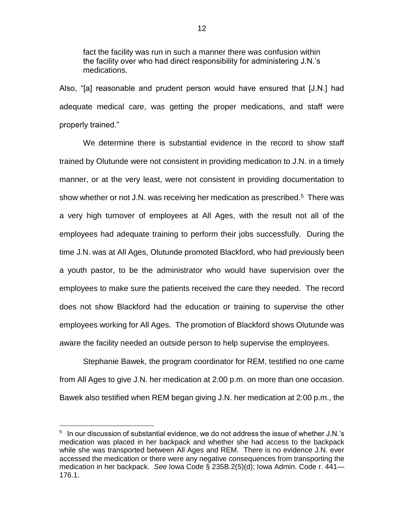fact the facility was run in such a manner there was confusion within the facility over who had direct responsibility for administering J.N.'s medications.

Also, "[a] reasonable and prudent person would have ensured that [J.N.] had adequate medical care, was getting the proper medications, and staff were properly trained."

We determine there is substantial evidence in the record to show staff trained by Olutunde were not consistent in providing medication to J.N. in a timely manner, or at the very least, were not consistent in providing documentation to show whether or not J.N. was receiving her medication as prescribed.<sup>5</sup> There was a very high turnover of employees at All Ages, with the result not all of the employees had adequate training to perform their jobs successfully. During the time J.N. was at All Ages, Olutunde promoted Blackford, who had previously been a youth pastor, to be the administrator who would have supervision over the employees to make sure the patients received the care they needed. The record does not show Blackford had the education or training to supervise the other employees working for All Ages. The promotion of Blackford shows Olutunde was aware the facility needed an outside person to help supervise the employees.

Stephanie Bawek, the program coordinator for REM, testified no one came from All Ages to give J.N. her medication at 2:00 p.m. on more than one occasion. Bawek also testified when REM began giving J.N. her medication at 2:00 p.m., the

<sup>&</sup>lt;sup>5</sup> In our discussion of substantial evidence, we do not address the issue of whether J.N.'s medication was placed in her backpack and whether she had access to the backpack while she was transported between All Ages and REM. There is no evidence J.N. ever accessed the medication or there were any negative consequences from transporting the medication in her backpack. *See* Iowa Code § 235B.2(5)(d); Iowa Admin. Code r. 441— 176.1.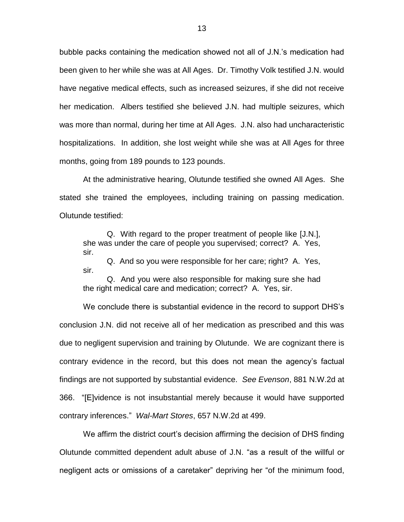bubble packs containing the medication showed not all of J.N.'s medication had been given to her while she was at All Ages. Dr. Timothy Volk testified J.N. would have negative medical effects, such as increased seizures, if she did not receive her medication. Albers testified she believed J.N. had multiple seizures, which was more than normal, during her time at All Ages. J.N. also had uncharacteristic hospitalizations. In addition, she lost weight while she was at All Ages for three months, going from 189 pounds to 123 pounds.

At the administrative hearing, Olutunde testified she owned All Ages. She stated she trained the employees, including training on passing medication. Olutunde testified:

Q. With regard to the proper treatment of people like [J.N.], she was under the care of people you supervised; correct? A. Yes, sir.

Q. And so you were responsible for her care; right? A. Yes, sir.

Q. And you were also responsible for making sure she had the right medical care and medication; correct? A. Yes, sir.

We conclude there is substantial evidence in the record to support DHS's conclusion J.N. did not receive all of her medication as prescribed and this was due to negligent supervision and training by Olutunde. We are cognizant there is contrary evidence in the record, but this does not mean the agency's factual findings are not supported by substantial evidence. *See Evenson*, 881 N.W.2d at 366. "[E]vidence is not insubstantial merely because it would have supported contrary inferences." *Wal-Mart Stores*, 657 N.W.2d at 499.

We affirm the district court's decision affirming the decision of DHS finding Olutunde committed dependent adult abuse of J.N. "as a result of the willful or negligent acts or omissions of a caretaker" depriving her "of the minimum food,